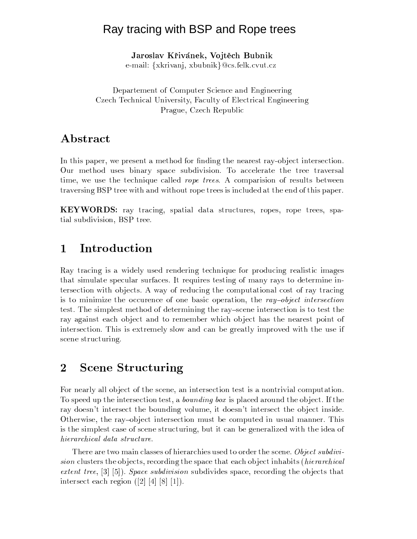## Ray tracing with BSP and Rope trees

Jaroslav Křivánek, Vojtěch Bubnik

e-mail: {xkrivanj, xbubnik}@cs.felk.cvut.cz

Departement of Computer Science and Engineering Czech Technical University, Faculty of Electrical Engineering Prague, Czech Republic

# Abstract

In this paper, we present a method for finding the nearest ray-object intersection. Our method uses binary space subdivision. To accelerate the tree traversal time, we use the technique called *rope trees*. A comparision of results between traversing BSP tree with and without rope trees is included at the end of this paper.

**KEYWORDS:** ray tracing, spatial data structures, ropes, rope trees, spatial subdivision, BSP tree.

## $\mathbf{1}$ Introduction

Ray tracing is a widely used rendering technique for producing realistic images that simulate specular surfaces. It requires testing of many rays to determine intersection with objects. A way of reducing the computational cost of ray tracing is to minimize the occurence of one basic operation, the ray-object intersection test. The simplest method of determining the ray-scene intersection is to test the ray against each object and to remember which object has the nearest point of intersection. This is extremely slow and can be greatly improved with the use if scene structuring.

## $\overline{2}$ **Scene Structuring**

For nearly all object of the scene, an intersection test is a nontrivial computation. To speed up the intersection test, a *bounding box* is placed around the object. If the ray doesn't intersect the bounding volume, it doesn't intersect the object inside. Otherwise, the ray-object intersection must be computed in usual manner. This is the simplest case of scene structuring, but it can be generalized with the idea of hierarchical data structure.

There are two main classes of hierarchies used to order the scene. Object subdivi*sion* clusters the objects, recording the space that each object inhabits *(hierarchical*) extent tree,  $[3]$  [5]). Space subdivision subdivides space, recording the objects that intersect each region  $(2)$  [4] [8] [1]).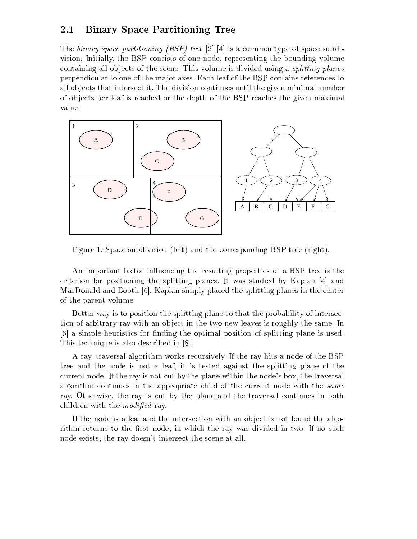#### 2.1 **Binary Space Partitioning Tree**

The binary space partitioning (BSP) tree [2] [4] is a common type of space subdivision. Initially, the BSP consists of one node, representing the bounding volume containing all objects of the scene. This volume is divided using a *splitting planes* perpendicular to one of the major axes. Each leaf of the BSP contains references to all objects that intersect it. The division continues until the given minimal number of objects per leaf is reached or the depth of the BSP reaches the given maximal value.



Figure 1: Space subdivision (left) and the corresponding BSP tree (right).

An important factor influencing the resulting properties of a BSP tree is the criterion for positioning the splitting planes. It was studied by Kaplan [4] and MacDonald and Booth [6]. Kaplan simply placed the splitting planes in the center of the parent volume.

Better way is to position the splitting plane so that the probability of intersection of arbitrary ray with an object in the two new leaves is roughly the same. In [6] a simple heuristics for finding the optimal position of splitting plane is used. This technique is also described in [8].

A ray-traversal algorithm works recursively. If the ray hits a node of the BSP tree and the node is not a leaf, it is tested against the splitting plane of the current node. If the ray is not cut by the plane within the node's box, the traversal algorithm continues in the appropriate child of the current node with the same ray. Otherwise, the ray is cut by the plane and the traversal continues in both children with the *modified* ray.

If the node is a leaf and the intersection with an object is not found the algorithm returns to the first node, in which the ray was divided in two. If no such node exists, the ray doesn't intersect the scene at all.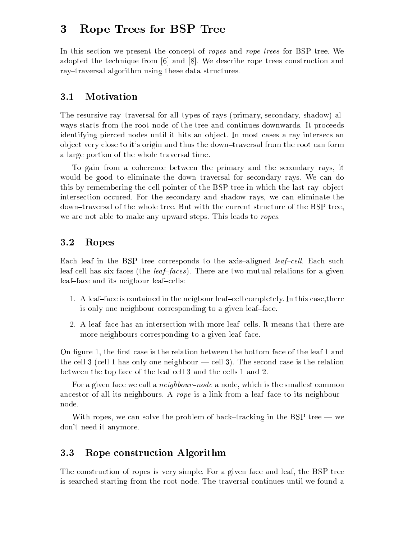### 3 Rope Trees for BSP Tree

In this section we present the concept of ropes and rope trees for BSP tree. We adopted the technique from  $[6]$  and  $[8]$ . We describe rope trees construction and ray-traversal algorithm using these data structures.

#### 3.1 Motivation

The resursive ray-traversal for all types of rays (primary, secondary, shadow) always starts from the root node of the tree and continues downwards. It proceeds identifying pierced nodes until it hits an object. In most cases a ray intersecs an object very close to it's origin and thus the down-traversal from the root can form a large portion of the whole traversal time.

To gain from a coherence between the primary and the secondary rays, it would be good to eliminate the down-traversal for secondary rays. We can do this by remembering the cell pointer of the BSP tree in which the last ray-object intersection occured. For the secondary and shadow rays, we can eliminate the down-traversal of the whole tree. But with the current structure of the BSP tree, we are not able to make any upward steps. This leads to ropes.

#### $3.2$ Ropes

Each leaf in the BSP tree corresponds to the axis-aligned *leaf-cell*. Each such leaf cell has six faces (the *leaf-faces*). There are two mutual relations for a given leaf-face and its neigbour leaf-cells:

- 1. A leaf-face is contained in the neigbour leaf-cell completely. In this case, there is only one neighbour corresponding to a given leaf-face.
- 2. A leaf-face has an intersection with more leaf-cells. It means that there are more neighbours corresponding to a given leaf-face.

On figure 1, the first case is the relation between the bottom face of the leaf 1 and the cell 3 (cell 1 has only one neighbour  $-$  cell 3). The second case is the relation between the top face of the leaf cell 3 and the cells 1 and 2.

For a given face we call a *neighbour–node* a node, which is the smallest common ancestor of all its neighbours. A rope is a link from a leaf-face to its neighbournode.

With ropes, we can solve the problem of back-tracking in the BSP tree — we don't need it anymore.

#### Rope construction Algorithm  $3.3$

The construction of ropes is very simple. For a given face and leaf, the BSP tree is searched starting from the root node. The traversal continues until we found a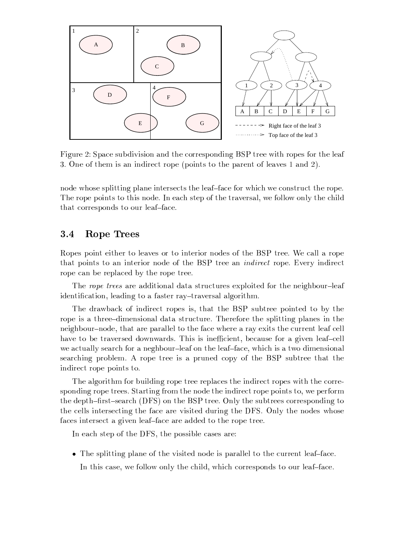

Figure 2: Space subdivision and the corresponding BSP tree with ropes for the leaf 3. One of them is an indirect rope (points to the parent of leaves 1 and 2).

node whose splitting plane intersects the leaf-face for which we construct the rope. The rope points to this node. In each step of the traversal, we follow only the child that corresponds to our leaf-face.

#### 3.4 Rope Trees

Ropes point either to leaves or to interior nodes of the BSP tree. We call a rope that points to an interior node of the BSP tree an *indirect* rope. Every indirect rope can be replaced by the rope tree.

The rope trees are additional data structures exploited for the neighbour-leaf identification, leading to a faster ray-traversal algorithm.

The drawback of indirect ropes is, that the BSP subtree pointed to by the rope is a three-dimensional data structure. Therefore the splitting planes in the neighbour-node, that are parallel to the face where a ray exits the current leaf cell have to be traversed downwards. This is inefficient, because for a given leaf-cell we actually search for a neghbour-leaf on the leaf-face, which is a two dimensional searching problem. A rope tree is a pruned copy of the BSP subtree that the indirect rope points to.

The algorithm for building rope tree replaces the indirect ropes with the corresponding rope trees. Starting from the node the indirect rope points to, we perform the depth-first-search (DFS) on the BSP tree. Only the subtrees corresponding to the cells intersecting the face are visited during the DFS. Only the nodes whose faces intersect a given leaf-face are added to the rope tree.

In each step of the DFS, the possible cases are:

• The splitting plane of the visited node is parallel to the current leaf-face. In this case, we follow only the child, which corresponds to our leaf-face.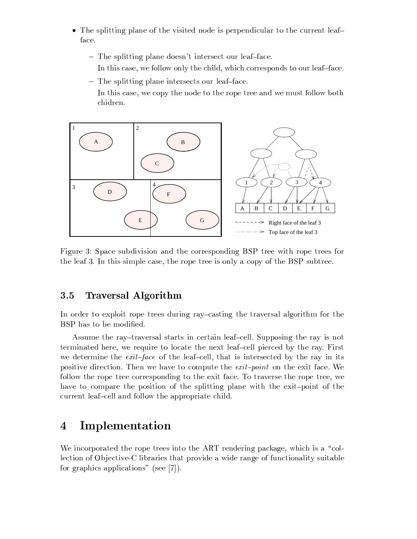- The splitting plane of the visited node is perpendicular to the current leafface.
	- The splitting plane doesn't intersect our leaf-face.
		- In this case, we follow only the child, which corresponds to our leaf-face.
	- The splitting plane intersects our leaf-face.
		- In this case, we copy the node to the rope tree and we must follow both chidren.



Figure 3: Space subdivision and the corresponding BSP tree with rope trees for the leaf 3. In this simple case, the rope tree is only a copy of the BSP subtree.

#### 3.5 **Traversal Algorithm**

In order to exploit rope trees during ray-casting the traversal algorithm for the BSP has to be modified.

Assume the ray-traversal starts in certain leaf-cell. Supposing the ray is not terminated here, we require to locate the next leaf-cell pierced by the ray. First we determine the *exit-face* of the leaf-cell, that is intersected by the ray in its positive direction. Then we have to compute the *exit-point* on the exit face. We follow the rope tree corresponding to the exit face. To traverse the rope tree, we have to compare the position of the splitting plane with the exit-point of the current leaf-cell and follow the appropriate child.

## Implementation  $\overline{4}$

We incorporated the rope trees into the ART rendering package, which is a "collection of Objective-C libraries that provide a wide range of functionality suitable for graphics applications" (see [7]).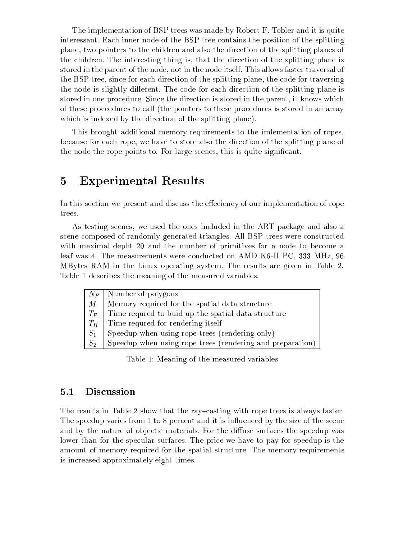The implementation of BSP trees was made by Robert F. Tobler and it is quite interessant. Each inner node of the BSP tree contains the position of the splitting plane, two pointers to the children and also the direction of the splitting planes of the children. The interesting thing is, that the direction of the splitting plane is stored in the parent of the node, not in the node itself. This allows faster traversal of the BSP tree, since for each direction of the splitting plane, the code for traversing the node is slightly different. The code for each direction of the splitting plane is stored in one procedure. Since the direction is stored in the parent, it knows which of these procedures to call (the pointers to these procedures is stored in an array which is indexed by the direction of the splitting plane).

This brought additional memory requirements to the imlementation of ropes, because for each rope, we have to store also the direction of the splitting plane of the node the rope points to. For large scenes, this is quite significant.

### **Experimental Results**  $\overline{5}$

In this section we present and discuss the effeciency of our implementation of rope trees.

As testing scenes, we used the ones included in the ART package and also a scene composed of randomly generated triangles. All BSP trees were constructed with maximal depht 20 and the number of primitives for a node to become a leaf was 4. The measurements were conducted on AMD K6-II PC, 333 MHz, 96 MBytes RAM in the Linux operating system. The results are given in Table 2. Table 1 describes the meaning of the measured variables.

|         | $N_P$ Number of polygons                                  |
|---------|-----------------------------------------------------------|
| $M_{-}$ | Memory required for the spatial data structure            |
| $T_P$   | Time requred to buid up the spatial data structure        |
|         | $T_R$ Time requred for rendering itself                   |
| $S_1$   | Speedup when using rope trees (rendering only)            |
| $S_2$   | Speedup when using rope trees (rendering and preparation) |
|         |                                                           |

Table 1: Meaning of the measured variables

#### Discussion  $5.1$

The results in Table 2 show that the ray-casting with rope trees is always faster. The speedup varies from 1 to 8 percent and it is influenced by the size of the scene and by the nature of objects' materials. For the diffuse surfaces the speedup was lower than for the specular surfaces. The price we have to pay for speedup is the amount of memory required for the spatial structure. The memory requirements is increased approximately eight times.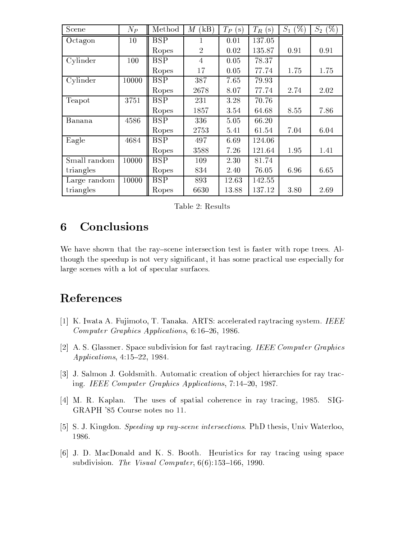| Scene        | $N_P$ | Method                  | (kB)<br>М      | $T_P$<br>, s ) | $T_R$<br>'s ' | $S_1$<br>$\%$ | $(\%)$<br>$S_2$ |
|--------------|-------|-------------------------|----------------|----------------|---------------|---------------|-----------------|
| Octagon      | 10    | <b>BSP</b>              |                | 0.01           | 137.05        |               |                 |
|              |       | Ropes                   | $\overline{2}$ | 0.02           | 135.87        | 0.91          | 0.91            |
| Cylinder     | 100   | <b>BSP</b>              | $\overline{4}$ | 0.05           | 78.37         |               |                 |
|              |       | Ropes                   | 17             | 0.05           | 77.74         | 1.75          | 1.75            |
| Cylinder     | 10000 | <b>BSP</b>              | 387            | 7.65           | 79.93         |               |                 |
|              |       | Ropes                   | 2678           | 8.07           | 77.74         | 2.74          | 2.02            |
| Teapot       | 3751  | <b>BSP</b>              | 231            | 3.28           | 70.76         |               |                 |
|              |       | Ropes                   | 1857           | 3.54           | 64.68         | 8.55          | 7.86            |
| Banana       | 4586  | $\overline{\text{BSP}}$ | 336            | 5.05           | 66.20         |               |                 |
|              |       | Ropes                   | 2753           | 5.41           | 61.54         | 7.04          | 6.04            |
| Eagle        | 4684  | <b>BSP</b>              | 497            | 6.69           | 124.06        |               |                 |
|              |       | Ropes                   | 3588           | 7.26           | 121.64        | 1.95          | 1.41            |
| Small random | 10000 | <b>BSP</b>              | 109            | 2.30           | 81.74         |               |                 |
| triangles    |       | Ropes                   | 834            | 2.40           | 76.05         | 6.96          | 6.65            |
| Large random | 10000 | $\overline{\text{BSP}}$ | 893            | 12.63          | 142.55        |               |                 |
| triangles    |       | Ropes                   | 6630           | 13.88          | 137.12        | 3.80          | 2.69            |

Table 2: Results

## Conclusions 6

We have shown that the ray-scene intersection test is faster with rope trees. Although the speedup is not very significant, it has some practical use especially for large scenes with a lot of specular surfaces.

## References

- [1] K. Iwata A. Fujimoto, T. Tanaka. ARTS: accelerated raytracing system. IEEE Computer Graphics Applications, 6:16-26, 1986.
- [2] A.S. Glassner. Space subdivision for fast raytracing. IEEE Computer Graphics *Applications*,  $4:15-22$ , 1984.
- [3] J. Salmon J. Goldsmith. Automatic creation of object hierarchies for ray tracing. IEEE Computer Graphics Applications, 7:14-20, 1987.
- [4] M. R. Kaplan. The uses of spatial coherence in ray tracing, 1985.  $SIG-$ GRAPH '85 Course notes no 11.
- [5] S. J. Kingdon. Speeding up ray-scene intersections. PhD thesis, Univ Waterloo, 1986.
- [6] J. D. MacDonald and K. S. Booth. Heuristics for ray tracing using space subdivision. The Visual Computer,  $6(6)$ :153-166, 1990.